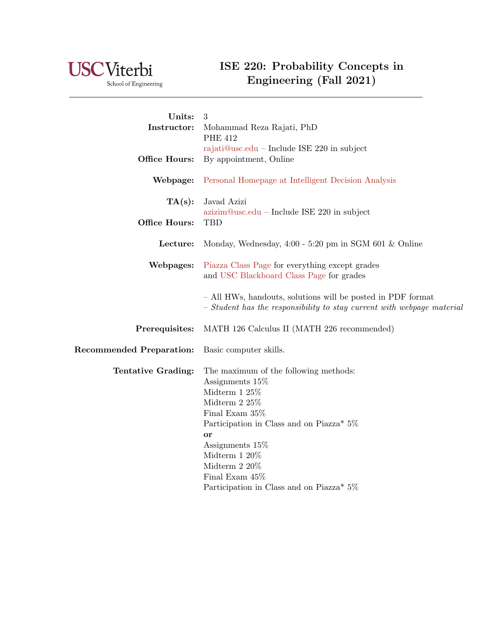

School of Engineering

## ISE 220: Probability Concepts in Engineering (Fall 2021)

| Units:                          | 3                                                                      |
|---------------------------------|------------------------------------------------------------------------|
| Instructor:                     | Mohammad Reza Rajati, PhD                                              |
|                                 | <b>PHE 412</b>                                                         |
|                                 | rajati@usc.edu – Include ISE 220 in subject                            |
| Office Hours:                   | By appointment, Online                                                 |
| Webpage:                        | Personal Homepage at Intelligent Decision Analysis                     |
| TA(s):                          | Javad Azizi                                                            |
|                                 | $azizim@usc.edu - Include ISE 220 in subject$                          |
| Office Hours:                   | TBD                                                                    |
| Lecture:                        | Monday, Wednesday, $4:00 - 5:20$ pm in SGM 601 & Online                |
| Webpages:                       | Piazza Class Page for everything except grades                         |
|                                 | and USC Blackboard Class Page for grades                               |
|                                 | - All HWs, handouts, solutions will be posted in PDF format            |
|                                 | - Student has the responsibility to stay current with webpage material |
| Prerequisites:                  | MATH 126 Calculus II (MATH 226 recommended)                            |
| <b>Recommended Preparation:</b> | Basic computer skills.                                                 |
| Tentative Grading:              | The maximum of the following methods:                                  |
|                                 | Assignments 15\%                                                       |
|                                 | Midterm $125%$                                                         |
|                                 | Midterm 2 $25%$                                                        |
|                                 | Final Exam 35%                                                         |
|                                 | Participation in Class and on Piazza* 5%                               |
|                                 | or                                                                     |
|                                 | Assignments 15\%                                                       |
|                                 | Midterm $120\%$<br>Midterm 2 20%                                       |
|                                 | Final Exam $45\%$                                                      |
|                                 | Participation in Class and on Piazza* 5%                               |
|                                 |                                                                        |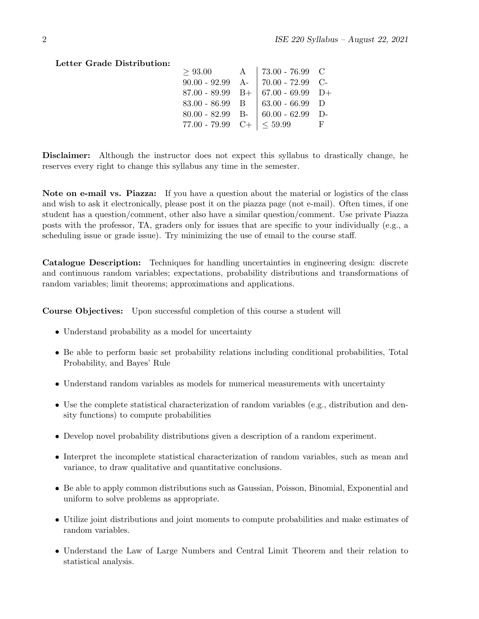## Letter Grade Distribution:

| $67.00 - 69.99$ D+                                                                                             |                                             |
|----------------------------------------------------------------------------------------------------------------|---------------------------------------------|
| $63.00 - 66.99$ D                                                                                              |                                             |
| $60.00 - 62.99$ D-                                                                                             |                                             |
| < 59.99                                                                                                        | н,                                          |
| A<br>$90.00 - 92.99$ A-<br>$87.00 - 89.99$ B+<br>$83.00 - 86.99$ B<br>$80.00 - 82.99$ B-<br>$77.00 - 79.99$ C+ | 73.00 - 76.99 $\,$ C<br>$ 70.00 - 72.99$ C- |

Disclaimer: Although the instructor does not expect this syllabus to drastically change, he reserves every right to change this syllabus any time in the semester.

Note on e-mail vs. Piazza: If you have a question about the material or logistics of the class and wish to ask it electronically, please post it on the piazza page (not e-mail). Often times, if one student has a question/comment, other also have a similar question/comment. Use private Piazza posts with the professor, TA, graders only for issues that are specific to your individually (e.g., a scheduling issue or grade issue). Try minimizing the use of email to the course staff.

Catalogue Description: Techniques for handling uncertainties in engineering design: discrete and continuous random variables; expectations, probability distributions and transformations of random variables; limit theorems; approximations and applications.

Course Objectives: Upon successful completion of this course a student will

- Understand probability as a model for uncertainty
- Be able to perform basic set probability relations including conditional probabilities, Total Probability, and Bayes' Rule
- Understand random variables as models for numerical measurements with uncertainty
- Use the complete statistical characterization of random variables (e.g., distribution and density functions) to compute probabilities
- Develop novel probability distributions given a description of a random experiment.
- Interpret the incomplete statistical characterization of random variables, such as mean and variance, to draw qualitative and quantitative conclusions.
- Be able to apply common distributions such as Gaussian, Poisson, Binomial, Exponential and uniform to solve problems as appropriate.
- Utilize joint distributions and joint moments to compute probabilities and make estimates of random variables.
- Understand the Law of Large Numbers and Central Limit Theorem and their relation to statistical analysis.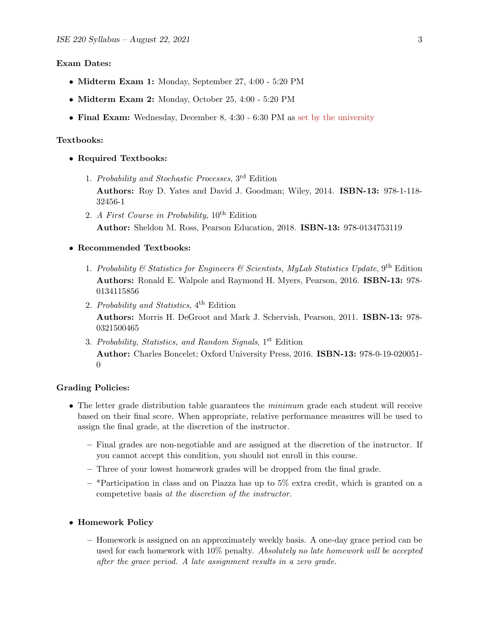#### Exam Dates:

- Midterm Exam 1: Monday, September 27, 4:00 5:20 PM
- Midterm Exam 2: Monday, October 25, 4:00 5:20 PM
- Final Exam: Wednesday, December 8, 4:30 6:30 PM as [set by the university](https://classes.usc.edu/term-20213/finals/)

#### Textbooks:

- Required Textbooks:
	- 1. Probability and Stochastic Processes, 3rd Edition Authors: Roy D. Yates and David J. Goodman; Wiley, 2014. ISBN-13: 978-1-118- 32456-1
	- 2. A First Course in Probability,  $10^{th}$  Edition Author: Sheldon M. Ross, Pearson Education, 2018. ISBN-13: 978-0134753119

#### • Recommended Textbooks:

- 1. Probability & Statistics for Engineers & Scientists, MyLab Statistics Update,  $9<sup>th</sup>$  Edition Authors: Ronald E. Walpole and Raymond H. Myers, Pearson, 2016. ISBN-13: 978- 0134115856
- 2. Probability and Statistics, 4th Edition Authors: Morris H. DeGroot and Mark J. Schervish, Pearson, 2011. ISBN-13: 978- 0321500465
- 3. Probability, Statistics, and Random Signals, 1st Edition Author: Charles Boncelet; Oxford University Press, 2016. ISBN-13: 978-0-19-020051- 0

#### Grading Policies:

- The letter grade distribution table guarantees the *minimum* grade each student will receive based on their final score. When appropriate, relative performance measures will be used to assign the final grade, at the discretion of the instructor.
	- Final grades are non-negotiable and are assigned at the discretion of the instructor. If you cannot accept this condition, you should not enroll in this course.
	- Three of your lowest homework grades will be dropped from the final grade.
	- $-$  \*Participation in class and on Piazza has up to 5% extra credit, which is granted on a competetive basis at the discretion of the instructor.
- Homework Policy
	- Homework is assigned on an approximately weekly basis. A one-day grace period can be used for each homework with 10% penalty. Absolutely no late homework will be accepted after the grace period. A late assignment results in a zero grade.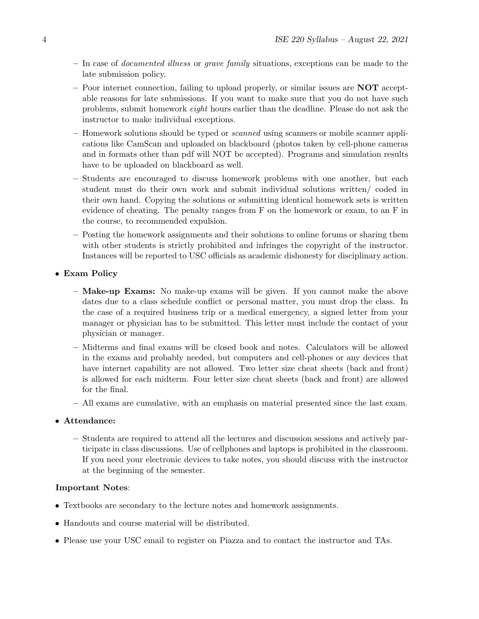- In case of documented illness or grave family situations, exceptions can be made to the late submission policy.
- Poor internet connection, failing to upload properly, or similar issues are **NOT** acceptable reasons for late submissions. If you want to make sure that you do not have such problems, submit homework eight hours earlier than the deadline. Please do not ask the instructor to make individual exceptions.
- Homework solutions should be typed or scanned using scanners or mobile scanner applications like CamScan and uploaded on blackboard (photos taken by cell-phone cameras and in formats other than pdf will NOT be accepted). Programs and simulation results have to be uploaded on blackboard as well.
- Students are encouraged to discuss homework problems with one another, but each student must do their own work and submit individual solutions written/ coded in their own hand. Copying the solutions or submitting identical homework sets is written evidence of cheating. The penalty ranges from F on the homework or exam, to an F in the course, to recommended expulsion.
- Posting the homework assignments and their solutions to online forums or sharing them with other students is strictly prohibited and infringes the copyright of the instructor. Instances will be reported to USC officials as academic dishonesty for disciplinary action.

## • Exam Policy

- Make-up Exams: No make-up exams will be given. If you cannot make the above dates due to a class schedule conflict or personal matter, you must drop the class. In the case of a required business trip or a medical emergency, a signed letter from your manager or physician has to be submitted. This letter must include the contact of your physician or manager.
- Midterms and final exams will be closed book and notes. Calculators will be allowed in the exams and probably needed, but computers and cell-phones or any devices that have internet capability are not allowed. Two letter size cheat sheets (back and front) is allowed for each midterm. Four letter size cheat sheets (back and front) are allowed for the final.
- All exams are cumulative, with an emphasis on material presented since the last exam.
- Attendance:
	- Students are required to attend all the lectures and discussion sessions and actively participate in class discussions. Use of cellphones and laptops is prohibited in the classroom. If you need your electronic devices to take notes, you should discuss with the instructor at the beginning of the semester.

### Important Notes:

- Textbooks are secondary to the lecture notes and homework assignments.
- Handouts and course material will be distributed.
- Please use your USC email to register on Piazza and to contact the instructor and TAs.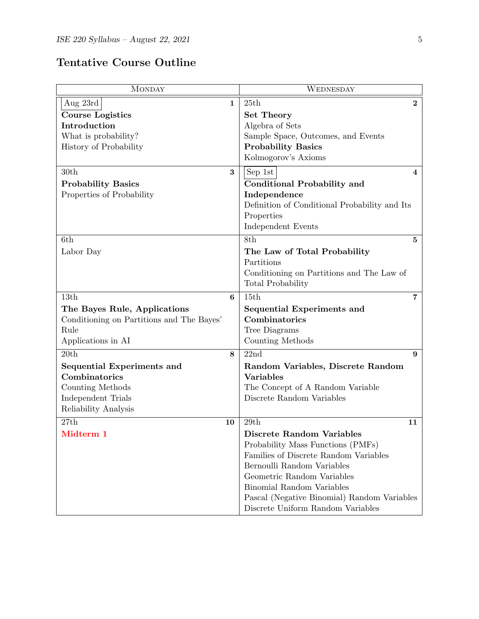| <b>MONDAY</b>                             | WEDNESDAY                                                           |  |
|-------------------------------------------|---------------------------------------------------------------------|--|
| Aug 23rd<br>$\mathbf 1$                   | 25th<br>$\bf{2}$                                                    |  |
| <b>Course Logistics</b>                   | Set Theory                                                          |  |
| Introduction                              | Algebra of Sets                                                     |  |
| What is probability?                      | Sample Space, Outcomes, and Events                                  |  |
| History of Probability                    | <b>Probability Basics</b>                                           |  |
|                                           | Kolmogorov's Axioms                                                 |  |
| 30th<br>3                                 | Sep 1st<br>4                                                        |  |
| <b>Probability Basics</b>                 | <b>Conditional Probability and</b>                                  |  |
| Properties of Probability                 | Independence                                                        |  |
|                                           | Definition of Conditional Probability and Its                       |  |
|                                           | Properties                                                          |  |
|                                           | Independent Events                                                  |  |
| 6th                                       | 8th<br>5                                                            |  |
| Labor Day                                 | The Law of Total Probability                                        |  |
|                                           | Partitions                                                          |  |
|                                           | Conditioning on Partitions and The Law of                           |  |
|                                           | Total Probability                                                   |  |
| 13th<br>6                                 | 15th<br>7                                                           |  |
| The Bayes Rule, Applications              | Sequential Experiments and                                          |  |
| Conditioning on Partitions and The Bayes' | Combinatorics                                                       |  |
| Rule                                      | Tree Diagrams                                                       |  |
| Applications in AI                        | Counting Methods                                                    |  |
| 20th<br>8                                 | 22nd<br>9                                                           |  |
| Sequential Experiments and                | Random Variables, Discrete Random                                   |  |
| Combinatorics                             | <b>Variables</b>                                                    |  |
| Counting Methods                          | The Concept of A Random Variable                                    |  |
| Independent Trials                        | Discrete Random Variables                                           |  |
| Reliability Analysis                      |                                                                     |  |
| 27th<br>10                                | 29th<br>11                                                          |  |
| Midterm 1                                 | Discrete Random Variables                                           |  |
|                                           | Probability Mass Functions (PMFs)                                   |  |
|                                           | Families of Discrete Random Variables<br>Bernoulli Random Variables |  |
|                                           | Geometric Random Variables                                          |  |
|                                           | Binomial Random Variables                                           |  |
|                                           | Pascal (Negative Binomial) Random Variables                         |  |
|                                           | Discrete Uniform Random Variables                                   |  |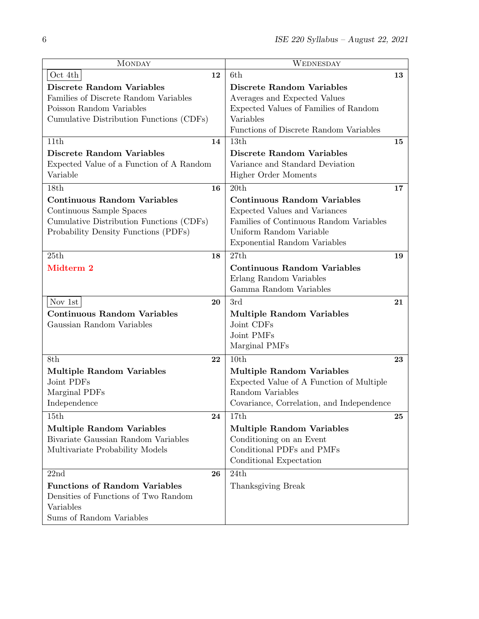| <b>MONDAY</b>                            | WEDNESDAY                                 |
|------------------------------------------|-------------------------------------------|
| Oct 4th<br>12                            | 6th<br>13                                 |
| <b>Discrete Random Variables</b>         | <b>Discrete Random Variables</b>          |
| Families of Discrete Random Variables    | Averages and Expected Values              |
| Poisson Random Variables                 | Expected Values of Families of Random     |
| Cumulative Distribution Functions (CDFs) | Variables                                 |
|                                          | Functions of Discrete Random Variables    |
| 11th<br>14                               | 13th<br>15                                |
| <b>Discrete Random Variables</b>         | <b>Discrete Random Variables</b>          |
| Expected Value of a Function of A Random | Variance and Standard Deviation           |
| Variable                                 | <b>Higher Order Moments</b>               |
| 18th<br>16                               | 20th<br>17                                |
| <b>Continuous Random Variables</b>       | <b>Continuous Random Variables</b>        |
| Continuous Sample Spaces                 | Expected Values and Variances             |
| Cumulative Distribution Functions (CDFs) | Families of Continuous Random Variables   |
| Probability Density Functions (PDFs)     | Uniform Random Variable                   |
|                                          | <b>Exponential Random Variables</b>       |
| 25th<br>18                               | 27th<br>19                                |
| Midterm 2                                | <b>Continuous Random Variables</b>        |
|                                          | Erlang Random Variables                   |
|                                          | Gamma Random Variables                    |
| Nov 1st<br>20                            | 3rd<br>21                                 |
| <b>Continuous Random Variables</b>       | <b>Multiple Random Variables</b>          |
| Gaussian Random Variables                | Joint CDFs                                |
|                                          | Joint PMFs                                |
|                                          | Marginal PMFs                             |
| 8th<br>22                                | 10th<br>23                                |
| <b>Multiple Random Variables</b>         | <b>Multiple Random Variables</b>          |
| Joint PDFs                               | Expected Value of A Function of Multiple  |
| Marginal PDFs                            | Random Variables                          |
| Independence                             | Covariance, Correlation, and Independence |
| 15th<br>24                               | 17th<br>25                                |
| <b>Multiple Random Variables</b>         | <b>Multiple Random Variables</b>          |
| Bivariate Gaussian Random Variables      | Conditioning on an Event                  |
| Multivariate Probability Models          | Conditional PDFs and PMFs                 |
|                                          | Conditional Expectation                   |
| 22nd<br>26                               | 24th                                      |
| <b>Functions of Random Variables</b>     | Thanksgiving Break                        |
| Densities of Functions of Two Random     |                                           |
| Variables                                |                                           |
| Sums of Random Variables                 |                                           |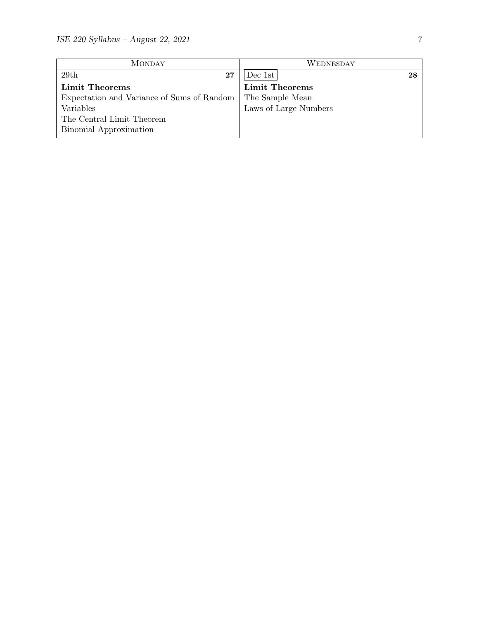| <b>MONDAY</b>                              | WEDNESDAY             |  |
|--------------------------------------------|-----------------------|--|
| 29th<br>$27\,$                             | Dec 1st<br>28         |  |
| Limit Theorems                             | <b>Limit Theorems</b> |  |
| Expectation and Variance of Sums of Random | The Sample Mean       |  |
| Variables                                  | Laws of Large Numbers |  |
| The Central Limit Theorem                  |                       |  |
| Binomial Approximation                     |                       |  |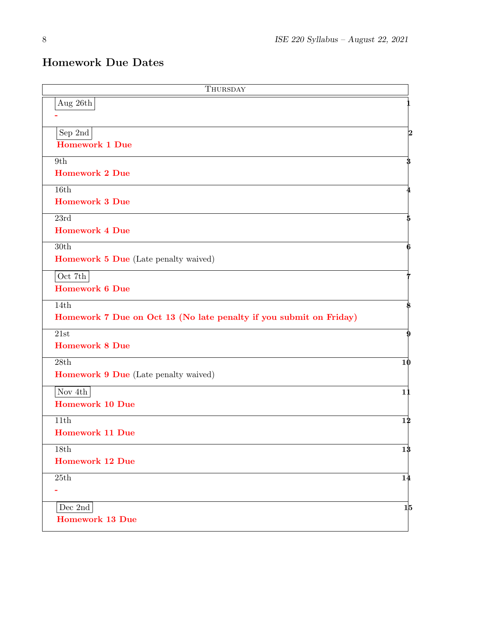# Homework Due Dates

| THURSDAY                                                           |            |
|--------------------------------------------------------------------|------------|
| Aug 26th                                                           |            |
|                                                                    |            |
| Sep $2nd$                                                          | 2          |
| <b>Homework 1 Due</b>                                              |            |
| 9th<br><b>Homework 2 Due</b>                                       | 3          |
|                                                                    |            |
| 16th<br><b>Homework 3 Due</b>                                      |            |
|                                                                    |            |
| 23rd<br><b>Homework 4 Due</b>                                      |            |
| 30th                                                               |            |
| <b>Homework 5 Due</b> (Late penalty waived)                        |            |
|                                                                    |            |
| Oct $7\mathrm{th}$<br><b>Homework 6 Due</b>                        |            |
| 14th                                                               |            |
| Homework 7 Due on Oct 13 (No late penalty if you submit on Friday) |            |
| 21st                                                               | 9          |
| <b>Homework 8 Due</b>                                              |            |
| 28th                                                               | 10         |
| <b>Homework 9 Due</b> (Late penalty waived)                        |            |
| Nov $4\rm{th}$                                                     | 11         |
| <b>Homework 10 Due</b>                                             |            |
| 11th                                                               | 12         |
| <b>Homework 11 Due</b>                                             |            |
| 18th                                                               | 13         |
| <b>Homework 12 Due</b>                                             |            |
| 25th                                                               | 14         |
|                                                                    |            |
| $\ensuremath{\mathsf{Dec}}$ 2nd                                    | $1\vert 5$ |
| <b>Homework 13 Due</b>                                             |            |